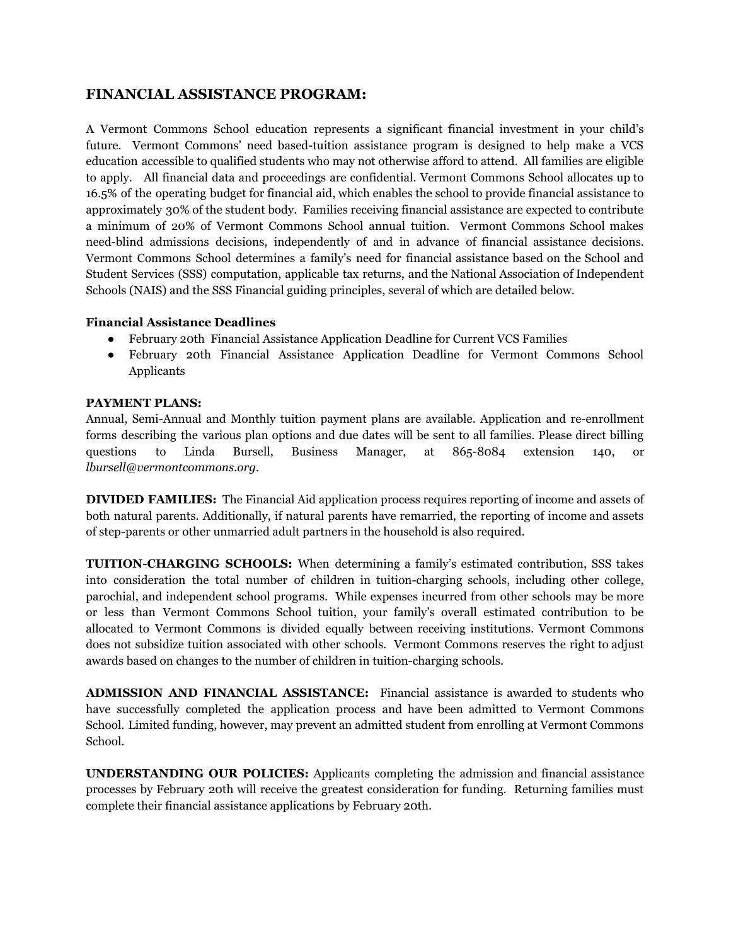## **FINANCIAL ASSISTANCE PROGRAM:**

A Vermont Commons School education represents a significant financial investment in your child's future. Vermont Commons' need based-tuition assistance program is designed to help make a VCS education accessible to qualified students who may not otherwise afford to attend. All families are eligible to apply. All financial data and proceedings are confidential. Vermont Commons School allocates up to 16.5% of the operating budget for financial aid, which enables the school to provide financial assistance to approximately 30% of the student body. Families receiving financial assistance are expected to contribute a minimum of 20% of Vermont Commons School annual tuition. Vermont Commons School makes need-blind admissions decisions, independently of and in advance of financial assistance decisions. Vermont Commons School determines a family's need for financial assistance based on the School and Student Services (SSS) computation, applicable tax returns, and the National Association of Independent Schools (NAIS) and the SSS Financial guiding principles, several of which are detailed below.

## **Financial Assistance Deadlines**

- February 20th Financial Assistance Application Deadline for Current VCS Families
- February 20th Financial Assistance Application Deadline for Vermont Commons School Applicants

## **PAYMENT PLANS:**

Annual, Semi-Annual and Monthly tuition payment plans are available. Application and re-enrollment forms describing the various plan options and due dates will be sent to all families. Please direct billing questions to Linda Bursell, Business Manager, at 865-8084 extension 140, or *lbursell@vermontcommons.org*.

**DIVIDED FAMILIES:** The Financial Aid application process requires reporting of income and assets of both natural parents. Additionally, if natural parents have remarried, the reporting of income and assets of step-parents or other unmarried adult partners in the household is also required.

**TUITION-CHARGING SCHOOLS:** When determining a family's estimated contribution, SSS takes into consideration the total number of children in tuition-charging schools, including other college, parochial, and independent school programs. While expenses incurred from other schools may be more or less than Vermont Commons School tuition, your family's overall estimated contribution to be allocated to Vermont Commons is divided equally between receiving institutions. Vermont Commons does not subsidize tuition associated with other schools. Vermont Commons reserves the right to adjust awards based on changes to the number of children in tuition-charging schools.

**ADMISSION AND FINANCIAL ASSISTANCE:** Financial assistance is awarded to students who have successfully completed the application process and have been admitted to Vermont Commons School. Limited funding, however, may prevent an admitted student from enrolling at Vermont Commons School.

**UNDERSTANDING OUR POLICIES:** Applicants completing the admission and financial assistance processes by February 20th will receive the greatest consideration for funding. Returning families must complete their financial assistance applications by February 20th.